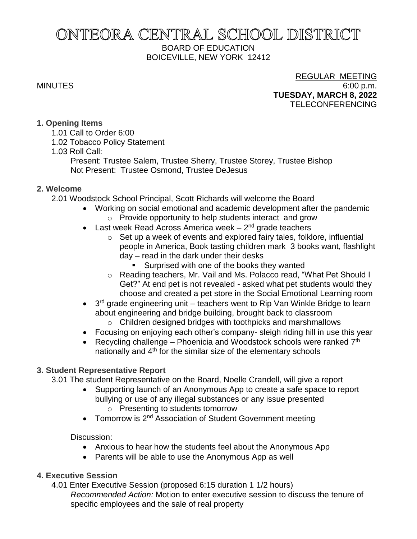# ONTEORA CENTRAL SCHOOL DISTRICT BOARD OF EDUCATION BOICEVILLE, NEW YORK 12412

# REGULAR MEETING MINUTES 6:00 p.m. **TUESDAY, MARCH 8, 2022** TELECONFERENCING

# **1. Opening Items**

- 1.01 Call to Order 6:00
- 1.02 Tobacco Policy Statement
- 1.03 Roll Call:

Present: Trustee Salem, Trustee Sherry, Trustee Storey, Trustee Bishop Not Present: Trustee Osmond, Trustee DeJesus

# **2. Welcome**

2.01 Woodstock School Principal, Scott Richards will welcome the Board

- Working on social emotional and academic development after the pandemic
	- o Provide opportunity to help students interact and grow
- Last week Read Across America week 2<sup>nd</sup> grade teachers
	- o Set up a week of events and explored fairy tales, folklore, influential people in America, Book tasting children mark 3 books want, flashlight day – read in the dark under their desks
		- **EXEC** Surprised with one of the books they wanted
	- o Reading teachers, Mr. Vail and Ms. Polacco read, "What Pet Should I Get?" At end pet is not revealed - asked what pet students would they choose and created a pet store in the Social Emotional Learning room
- $\bullet$  3<sup>rd</sup> grade engineering unit teachers went to Rip Van Winkle Bridge to learn about engineering and bridge building, brought back to classroom
	- o Children designed bridges with toothpicks and marshmallows
- Focusing on enjoying each other's company- sleigh riding hill in use this year
- Recycling challenge  $-$  Phoenicia and Woodstock schools were ranked  $7<sup>th</sup>$ nationally and 4<sup>th</sup> for the similar size of the elementary schools

# **3. Student Representative Report**

3.01 The student Representative on the Board, Noelle Crandell, will give a report

- Supporting launch of an Anonymous App to create a safe space to report bullying or use of any illegal substances or any issue presented o Presenting to students tomorrow
- Tomorrow is 2<sup>nd</sup> Association of Student Government meeting

# Discussion:

- Anxious to hear how the students feel about the Anonymous App
- Parents will be able to use the Anonymous App as well

# **4. Executive Session**

4.01 Enter Executive Session (proposed 6:15 duration 1 1/2 hours) *Recommended Action:* Motion to enter executive session to discuss the tenure of specific employees and the sale of real property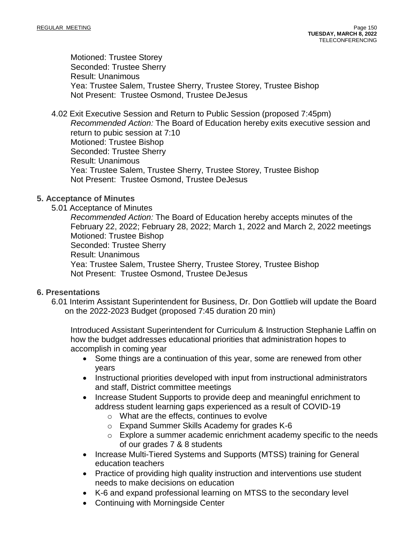Motioned: Trustee Storey Seconded: Trustee Sherry Result: Unanimous Yea: Trustee Salem, Trustee Sherry, Trustee Storey, Trustee Bishop Not Present: Trustee Osmond, Trustee DeJesus

4.02 Exit Executive Session and Return to Public Session (proposed 7:45pm) *Recommended Action:* The Board of Education hereby exits executive session and return to pubic session at 7:10 Motioned: Trustee Bishop Seconded: Trustee Sherry Result: Unanimous Yea: Trustee Salem, Trustee Sherry, Trustee Storey, Trustee Bishop Not Present: Trustee Osmond, Trustee DeJesus

# **5. Acceptance of Minutes**

5.01 Acceptance of Minutes

*Recommended Action:* The Board of Education hereby accepts minutes of the February 22, 2022; February 28, 2022; March 1, 2022 and March 2, 2022 meetings Motioned: Trustee Bishop Seconded: Trustee Sherry Result: Unanimous Yea: Trustee Salem, Trustee Sherry, Trustee Storey, Trustee Bishop Not Present: Trustee Osmond, Trustee DeJesus

### **6. Presentations**

6.01 Interim Assistant Superintendent for Business, Dr. Don Gottlieb will update the Board on the 2022-2023 Budget (proposed 7:45 duration 20 min)

Introduced Assistant Superintendent for Curriculum & Instruction Stephanie Laffin on how the budget addresses educational priorities that administration hopes to accomplish in coming year

- Some things are a continuation of this year, some are renewed from other years
- Instructional priorities developed with input from instructional administrators and staff, District committee meetings
- Increase Student Supports to provide deep and meaningful enrichment to address student learning gaps experienced as a result of COVID-19
	- o What are the effects, continues to evolve
	- o Expand Summer Skills Academy for grades K-6
	- $\circ$  Explore a summer academic enrichment academy specific to the needs of our grades 7 & 8 students
- Increase Multi-Tiered Systems and Supports (MTSS) training for General education teachers
- Practice of providing high quality instruction and interventions use student needs to make decisions on education
- K-6 and expand professional learning on MTSS to the secondary level
- Continuing with Morningside Center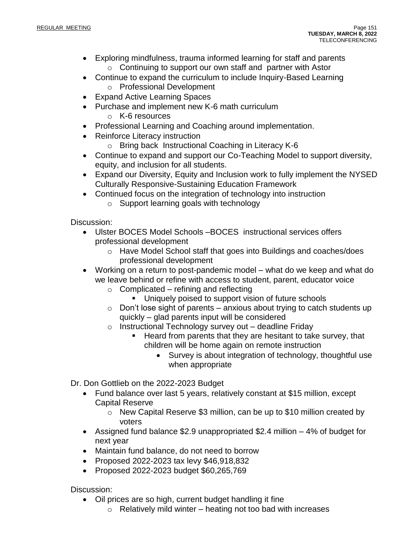- Exploring mindfulness, trauma informed learning for staff and parents o Continuing to support our own staff and partner with Astor
- Continue to expand the curriculum to include Inquiry-Based Learning o Professional Development
- Expand Active Learning Spaces
- Purchase and implement new K-6 math curriculum
	- o K-6 resources
- Professional Learning and Coaching around implementation.
- Reinforce Literacy instruction
	- o Bring back Instructional Coaching in Literacy K-6
- Continue to expand and support our Co-Teaching Model to support diversity, equity, and inclusion for all students.
- Expand our Diversity, Equity and Inclusion work to fully implement the NYSED Culturally Responsive-Sustaining Education Framework
- Continued focus on the integration of technology into instruction
	- o Support learning goals with technology

Discussion:

- Ulster BOCES Model Schools –BOCES instructional services offers professional development
	- o Have Model School staff that goes into Buildings and coaches/does professional development
- Working on a return to post-pandemic model what do we keep and what do we leave behind or refine with access to student, parent, educator voice
	- $\circ$  Complicated refining and reflecting
		- Uniquely poised to support vision of future schools
	- $\circ$  Don't lose sight of parents anxious about trying to catch students up quickly – glad parents input will be considered
	- o Instructional Technology survey out deadline Friday
		- Heard from parents that they are hesitant to take survey, that children will be home again on remote instruction
			- Survey is about integration of technology, thoughtful use when appropriate
- Dr. Don Gottlieb on the 2022-2023 Budget
	- Fund balance over last 5 years, relatively constant at \$15 million, except Capital Reserve
		- o New Capital Reserve \$3 million, can be up to \$10 million created by voters
	- Assigned fund balance \$2.9 unappropriated \$2.4 million 4% of budget for next year
	- Maintain fund balance, do not need to borrow
	- Proposed 2022-2023 tax levy \$46,918,832
	- Proposed 2022-2023 budget \$60,265,769

Discussion:

- Oil prices are so high, current budget handling it fine
	- $\circ$  Relatively mild winter heating not too bad with increases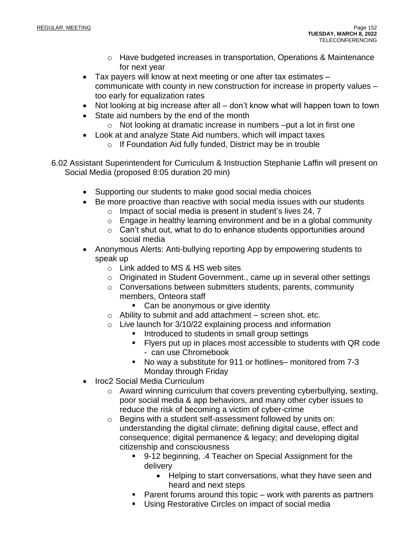- $\circ$  Have budgeted increases in transportation, Operations & Maintenance for next year
- Tax payers will know at next meeting or one after tax estimates communicate with county in new construction for increase in property values – too early for equalization rates
- Not looking at big increase after all don't know what will happen town to town
- State aid numbers by the end of the month
	- o Not looking at dramatic increase in numbers –put a lot in first one
- Look at and analyze State Aid numbers, which will impact taxes
	- o If Foundation Aid fully funded, District may be in trouble
- 6.02 Assistant Superintendent for Curriculum & Instruction Stephanie Laffin will present on Social Media (proposed 8:05 duration 20 min)
	- Supporting our students to make good social media choices
	- Be more proactive than reactive with social media issues with our students
		- o Impact of social media is present in student's lives 24, 7
		- o Engage in healthy learning environment and be in a global community
		- o Can't shut out, what to do to enhance students opportunities around social media
	- Anonymous Alerts: Anti-bullying reporting App by empowering students to speak up
		- o Link added to MS & HS web sites
		- o Originated in Student Government., came up in several other settings
		- o Conversations between submitters students, parents, community members, Onteora staff
			- Can be anonymous or give identity
		- o Ability to submit and add attachment screen shot, etc.
		- $\circ$  Live launch for 3/10/22 explaining process and information
			- Introduced to students in small group settings
			- **EXECT:** Flyers put up in places most accessible to students with QR code - can use Chromebook
			- No way a substitute for 911 or hotlines– monitored from 7-3 Monday through Friday
	- Iroc2 Social Media Curriculum
		- o Award winning curriculum that covers preventing cyberbullying, sexting, poor social media & app behaviors, and many other cyber issues to reduce the risk of becoming a victim of cyber-crime
		- o Begins with a student self-assessment followed by units on: understanding the digital climate; defining digital cause, effect and consequence; digital permanence & legacy; and developing digital citizenship and consciousness
			- 9-12 beginning, .4 Teacher on Special Assignment for the delivery
				- Helping to start conversations, what they have seen and heard and next steps
			- Parent forums around this topic work with parents as partners
			- Using Restorative Circles on impact of social media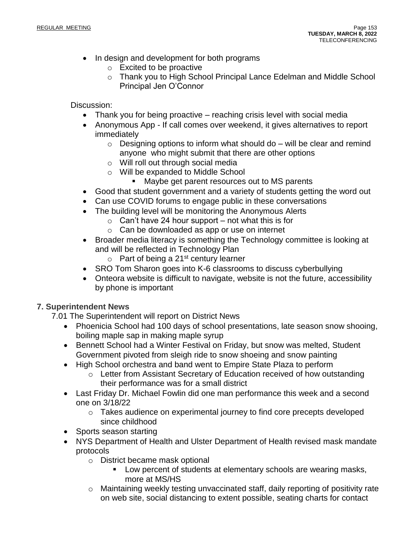- In design and development for both programs
	- o Excited to be proactive
	- o Thank you to High School Principal Lance Edelman and Middle School Principal Jen O'Connor

Discussion:

- Thank you for being proactive reaching crisis level with social media
- Anonymous App If call comes over weekend, it gives alternatives to report immediately
	- $\circ$  Designing options to inform what should do will be clear and remind anyone who might submit that there are other options
	- o Will roll out through social media
	- o Will be expanded to Middle School
		- Maybe get parent resources out to MS parents
- Good that student government and a variety of students getting the word out
- Can use COVID forums to engage public in these conversations
- The building level will be monitoring the Anonymous Alerts
	- $\circ$  Can't have 24 hour support not what this is for
	- o Can be downloaded as app or use on internet
- Broader media literacy is something the Technology committee is looking at and will be reflected in Technology Plan
	- $\circ$  Part of being a 21<sup>st</sup> century learner
- SRO Tom Sharon goes into K-6 classrooms to discuss cyberbullying
- Onteora website is difficult to navigate, website is not the future, accessibility by phone is important

# **7. Superintendent News**

7.01 The Superintendent will report on District News

- Phoenicia School had 100 days of school presentations, late season snow shooing, boiling maple sap in making maple syrup
- Bennett School had a Winter Festival on Friday, but snow was melted, Student Government pivoted from sleigh ride to snow shoeing and snow painting
- High School orchestra and band went to Empire State Plaza to perform
	- o Letter from Assistant Secretary of Education received of how outstanding their performance was for a small district
- Last Friday Dr. Michael Fowlin did one man performance this week and a second one on 3/18/22
	- o Takes audience on experimental journey to find core precepts developed since childhood
- Sports season starting
- NYS Department of Health and Ulster Department of Health revised mask mandate protocols
	- o District became mask optional
		- Low percent of students at elementary schools are wearing masks, more at MS/HS
	- o Maintaining weekly testing unvaccinated staff, daily reporting of positivity rate on web site, social distancing to extent possible, seating charts for contact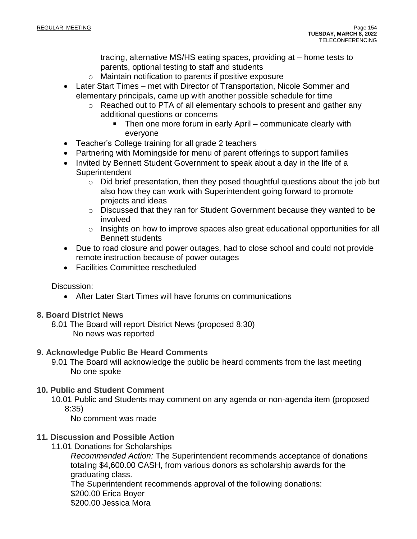tracing, alternative MS/HS eating spaces, providing at – home tests to parents, optional testing to staff and students

- o Maintain notification to parents if positive exposure
- Later Start Times met with Director of Transportation, Nicole Sommer and elementary principals, came up with another possible schedule for time
	- o Reached out to PTA of all elementary schools to present and gather any additional questions or concerns
		- Then one more forum in early April communicate clearly with everyone
- Teacher's College training for all grade 2 teachers
- Partnering with Morningside for menu of parent offerings to support families
- Invited by Bennett Student Government to speak about a day in the life of a **Superintendent** 
	- o Did brief presentation, then they posed thoughtful questions about the job but also how they can work with Superintendent going forward to promote projects and ideas
	- o Discussed that they ran for Student Government because they wanted to be involved
	- o Insights on how to improve spaces also great educational opportunities for all Bennett students
- Due to road closure and power outages, had to close school and could not provide remote instruction because of power outages
- Facilities Committee rescheduled

# Discussion:

• After Later Start Times will have forums on communications

# **8. Board District News**

8.01 The Board will report District News (proposed 8:30) No news was reported

# **9. Acknowledge Public Be Heard Comments**

9.01 The Board will acknowledge the public be heard comments from the last meeting No one spoke

# **10. Public and Student Comment**

10.01 Public and Students may comment on any agenda or non-agenda item (proposed 8:35)

No comment was made

# **11. Discussion and Possible Action**

11.01 Donations for Scholarships

*Recommended Action:* The Superintendent recommends acceptance of donations totaling \$4,600.00 CASH, from various donors as scholarship awards for the graduating class.

The Superintendent recommends approval of the following donations: \$200.00 Erica Boyer

\$200.00 Jessica Mora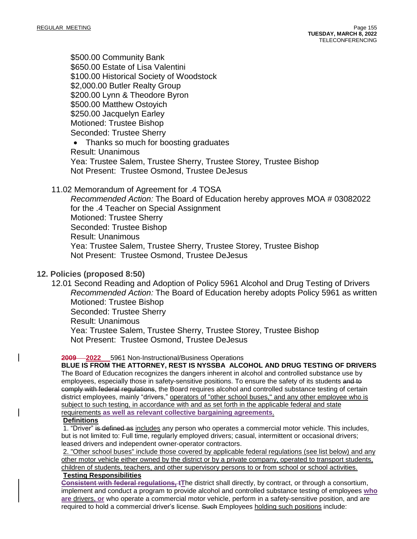\$500.00 Community Bank \$650.00 Estate of Lisa Valentini \$100.00 Historical Society of Woodstock \$2,000.00 Butler Realty Group \$200.00 Lynn & Theodore Byron \$500.00 Matthew Ostoyich \$250.00 Jacquelyn Earley Motioned: Trustee Bishop Seconded: Trustee Sherry

• Thanks so much for boosting graduates Result: Unanimous Yea: Trustee Salem, Trustee Sherry, Trustee Storey, Trustee Bishop Not Present: Trustee Osmond, Trustee DeJesus

### 11.02 Memorandum of Agreement for .4 TOSA

*Recommended Action:* The Board of Education hereby approves MOA # 03082022 for the .4 Teacher on Special Assignment Motioned: Trustee Sherry Seconded: Trustee Bishop Result: Unanimous Yea: Trustee Salem, Trustee Sherry, Trustee Storey, Trustee Bishop Not Present: Trustee Osmond, Trustee DeJesus

### **12. Policies (proposed 8:50)**

12.01 Second Reading and Adoption of Policy 5961 Alcohol and Drug Testing of Drivers *Recommended Action:* The Board of Education hereby adopts Policy 5961 as written Motioned: Trustee Bishop Seconded: Trustee Sherry Result: Unanimous Yea: Trustee Salem, Trustee Sherry, Trustee Storey, Trustee Bishop Not Present: Trustee Osmond, Trustee DeJesus

### **2009 2022** 5961 Non-Instructional/Business Operations

**BLUE IS FROM THE ATTORNEY, REST IS NYSSBA ALCOHOL AND DRUG TESTING OF DRIVERS** The Board of Education recognizes the dangers inherent in alcohol and controlled substance use by employees, especially those in safety-sensitive positions. To ensure the safety of its students and to comply with federal regulations, the Board requires alcohol and controlled substance testing of certain district employees, mainly "drivers," operators of "other school buses," and any other employee who is subject to such testing, in accordance with and as set forth in the applicable federal and state requirements **as well as relevant collective bargaining agreements**.

### **Definitions**

1. "Driver" is defined as includes any person who operates a commercial motor vehicle. This includes, but is not limited to: Full time, regularly employed drivers; casual, intermittent or occasional drivers; leased drivers and independent owner-operator contractors.

2. "Other school buses" include those covered by applicable federal regulations (see list below) and any other motor vehicle either owned by the district or by a private company, operated to transport students, children of students, teachers, and other supervisory persons to or from school or school activities. **Testing Responsibilities**

**Consistent with federal regulations, tT**he district shall directly, by contract, or through a consortium, implement and conduct a program to provide alcohol and controlled substance testing of employees **who are** drivers**, or** who operate a commercial motor vehicle, perform in a safety-sensitive position, and are required to hold a commercial driver's license. Such Employees holding such positions include: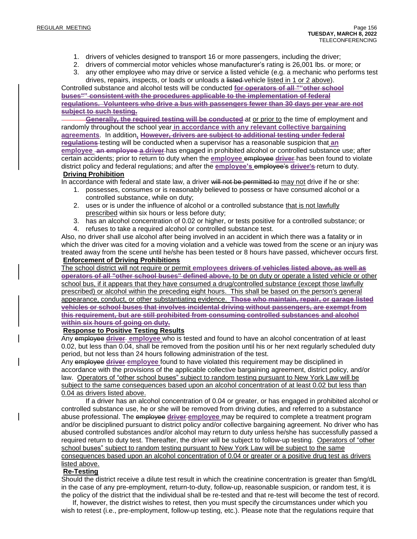- 1. drivers of vehicles designed to transport 16 or more passengers, including the driver;
- 2. drivers of commercial motor vehicles whose manufacturer's rating is 26,001 lbs. or more; or
- 3. any other employee who may drive or service a listed vehicle (e.g. a mechanic who performs test drives, repairs, inspects, or loads or unloads a listed vehicle listed in 1 or 2 above).

Controlled substance and alcohol tests will be conducted **for operators of all ""other school buses"" consistent with the procedures applicable to the implementation of federal regulations. Volunteers who drive a bus with passengers fewer than 30 days per year are not subject to such testing.**

**Generally, the required testing will be conducted** at or prior to the time of employment and randomly throughout the school year **in accordance with any relevant collective bargaining agreements**. In addition**, However, drivers are subject to additional testing under federal regulations** testing will be conducted when a supervisor has a reasonable suspicion that **an employee an employee a driver** has engaged in prohibited alcohol or controlled substance use; after certain accidents; prior to return to duty when the **employee** employee **driver** has been found to violate district policy and federal regulations; and after the **employee's** employee's **driver's** return to duty.

### **Driving Prohibition**

In accordance with federal and state law, a driver will not be permitted to may not drive if he or she:

- 1. possesses, consumes or is reasonably believed to possess or have consumed alcohol or a controlled substance, while on duty;
- 2. uses or is under the influence of alcohol or a controlled substance that is not lawfully prescribed within six hours or less before duty;
- 3. has an alcohol concentration of 0.02 or higher, or tests positive for a controlled substance; or
- 4. refuses to take a required alcohol or controlled substance test.

Also, no driver shall use alcohol after being involved in an accident in which there was a fatality or in which the driver was cited for a moving violation and a vehicle was towed from the scene or an injury was treated away from the scene until he/she has been tested or 8 hours have passed, whichever occurs first. **Enforcement of Driving Prohibitions**

The school district will not require or permit **employees drivers of vehicles listed above, as well as operators of all "other school buses" defined above,** to be on duty or operate a listed vehicle or other school bus, if it appears that they have consumed a drug/controlled substance (except those lawfully prescribed) or alcohol within the preceding eight hours. This shall be based on the person's general appearance, conduct, or other substantiating evidence. **Those who maintain, repair, or garage listed vehicles or school buses that involves incidental driving without passengers, are exempt from this requirement, but are still prohibited from consuming controlled substances and alcohol within six hours of going on duty.**

### **Response to Positive Testing Results**

Any employee **driver employee** who is tested and found to have an alcohol concentration of at least 0.02, but less than 0.04, shall be removed from the position until his or her next regularly scheduled duty period, but not less than 24 hours following administration of the test.

Any employee **driver employee** found to have violated this requirement may be disciplined in accordance with the provisions of the applicable collective bargaining agreement, district policy, and/or law. Operators of "other school buses" subject to random testing pursuant to New York Law will be subject to the same consequences based upon an alcohol concentration of at least 0.02 but less than 0.04 as drivers listed above.

If a driver has an alcohol concentration of 0.04 or greater, or has engaged in prohibited alcohol or controlled substance use, he or she will be removed from driving duties, and referred to a substance abuse professional. The employee **driver employee** may be required to complete a treatment program and/or be disciplined pursuant to district policy and/or collective bargaining agreement. No driver who has abused controlled substances and/or alcohol may return to duty unless he/she has successfully passed a required return to duty test. Thereafter, the driver will be subject to follow-up testing. Operators of "other school buses" subject to random testing pursuant to New York Law will be subject to the same consequences based upon an alcohol concentration of 0.04 or greater or a positive drug test as drivers listed above.

### **Re-Testing**

Should the district receive a dilute test result in which the creatinine concentration is greater than 5mg/dL in the case of any pre-employment, return-to-duty, follow-up, reasonable suspicion, or random test, it is the policy of the district that the individual shall be re-tested and that re-test will become the test of record.

 If, however, the district wishes to retest, then you must specify the circumstances under which you wish to retest (i.e., pre-employment, follow-up testing, etc.). Please note that the regulations require that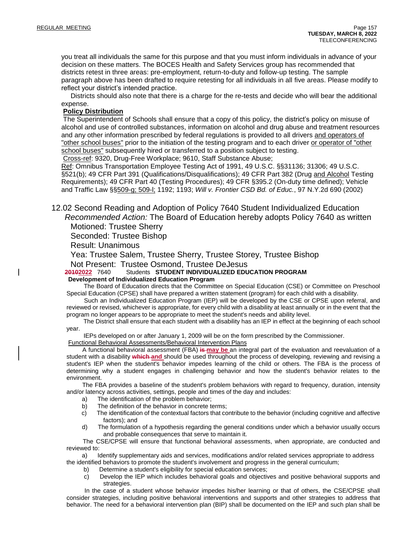you treat all individuals the same for this purpose and that you must inform individuals in advance of your decision on these matters. The BOCES Health and Safety Services group has recommended that districts retest in three areas: pre-employment, return-to-duty and follow-up testing. The sample paragraph above has been drafted to require retesting for all individuals in all five areas. Please modify to reflect your district's intended practice.

 Districts should also note that there is a charge for the re-tests and decide who will bear the additional expense.

### **Policy Distribution**

The Superintendent of Schools shall ensure that a copy of this policy, the district's policy on misuse of alcohol and use of controlled substances, information on alcohol and drug abuse and treatment resources and any other information prescribed by federal regulations is provided to all drivers and operators of "other school buses" prior to the initiation of the testing program and to each driver or operator of "other school buses" subsequently hired or transferred to a position subject to testing.

Cross-ref: 9320, Drug-Free Workplace; 9610, Staff Substance Abuse;

Ref: Omnibus Transportation Employee Testing Act of 1991, 49 U.S.C. §§31136; 31306; 49 U.S.C. §521(b); 49 CFR Part 391 (Qualifications/Disqualifications); 49 CFR Part 382 (Drug and Alcohol Testing Requirements); 49 CFR Part 40 (Testing Procedures); 49 CFR §395.2 (On-duty time defined); Vehicle and Traffic Law §§509-g; 509-l; 1192; 1193; *Will v. Frontier CSD Bd. of Educ.*, 97 N.Y.2d 690 (2002)

12.02 Second Reading and Adoption of Policy 7640 Student Individualized Education *Recommended Action:* The Board of Education hereby adopts Policy 7640 as written

Motioned: Trustee Sherry

Seconded: Trustee Bishop

Result: Unanimous

Yea: Trustee Salem, Trustee Sherry, Trustee Storey, Trustee Bishop

Not Present: Trustee Osmond, Trustee DeJesus<br>20102022 7640 Students STUDENT INDIVIDUALIZED EDU

**20102022** 7640 Students **STUDENT INDIVIDUALIZED EDUCATION PROGRAM Development of Individualized Education Program**

 The Board of Education directs that the Committee on Special Education (CSE) or Committee on Preschool Special Education (CPSE) shall have prepared a written statement (program) for each child with a disability.

 Such an Individualized Education Program (IEP) will be developed by the CSE or CPSE upon referral, and reviewed or revised, whichever is appropriate, for every child with a disability at least annually or in the event that the program no longer appears to be appropriate to meet the student's needs and ability level.

 The District shall ensure that each student with a disability has an IEP in effect at the beginning of each school year.

IEPs developed on or after January 1, 2009 will be on the form prescribed by the Commissioner.

Functional Behavioral Assessments/Behavioral Intervention Plans

 A functional behavioral assessment (FBA) **is may be** an integral part of the evaluation and reevaluation of a student with a disability **which and** should be used throughout the process of developing, reviewing and revising a student's IEP when the student's behavior impedes learning of the child or others. The FBA is the process of determining why a student engages in challenging behavior and how the student's behavior relates to the environment.

 The FBA provides a baseline of the student's problem behaviors with regard to frequency, duration, intensity and/or latency across activities, settings, people and times of the day and includes:

- a) The identification of the problem behavior;
- b) The definition of the behavior in concrete terms;
- c) The identification of the contextual factors that contribute to the behavior (including cognitive and affective factors); and
- d) The formulation of a hypothesis regarding the general conditions under which a behavior usually occurs and probable consequences that serve to maintain it.

 The CSE/CPSE will ensure that functional behavioral assessments, when appropriate, are conducted and reviewed to:

 a) Identify supplementary aids and services, modifications and/or related services appropriate to address the identified behaviors to promote the student's involvement and progress in the general curriculum;

- b) Determine a student's eligibility for special education services;
- c) Develop the IEP which includes behavioral goals and objectives and positive behavioral supports and strategies.

 In the case of a student whose behavior impedes his/her learning or that of others, the CSE/CPSE shall consider strategies, including positive behavioral interventions and supports and other strategies to address that behavior. The need for a behavioral intervention plan (BIP) shall be documented on the IEP and such plan shall be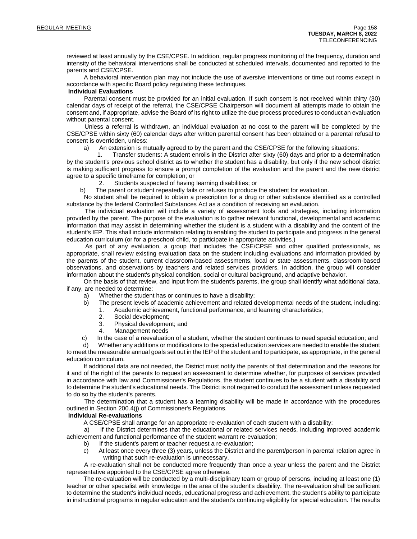reviewed at least annually by the CSE/CPSE. In addition, regular progress monitoring of the frequency, duration and intensity of the behavioral interventions shall be conducted at scheduled intervals, documented and reported to the parents and CSE/CPSE.

 A behavioral intervention plan may not include the use of aversive interventions or time out rooms except in accordance with specific Board policy regulating these techniques.

#### **Individual Evaluations**

 Parental consent must be provided for an initial evaluation. If such consent is not received within thirty (30) calendar days of receipt of the referral, the CSE/CPSE Chairperson will document all attempts made to obtain the consent and, if appropriate, advise the Board of its right to utilize the due process procedures to conduct an evaluation without parental consent.

 Unless a referral is withdrawn, an individual evaluation at no cost to the parent will be completed by the CSE/CPSE within sixty (60) calendar days after written parental consent has been obtained or a parental refusal to consent is overridden, unless:

a) An extension is mutually agreed to by the parent and the CSE/CPSE for the following situations:

 1. Transfer students: A student enrolls in the District after sixty (60) days and prior to a determination by the student's previous school district as to whether the student has a disability, but only if the new school district is making sufficient progress to ensure a prompt completion of the evaluation and the parent and the new district agree to a specific timeframe for completion; or

2. Students suspected of having learning disabilities; or

b) The parent or student repeatedly fails or refuses to produce the student for evaluation.

 No student shall be required to obtain a prescription for a drug or other substance identified as a controlled substance by the federal Controlled Substances Act as a condition of receiving an evaluation.

 The individual evaluation will include a variety of assessment tools and strategies, including information provided by the parent. The purpose of the evaluation is to gather relevant functional, developmental and academic information that may assist in determining whether the student is a student with a disability and the content of the student's IEP. This shall include information relating to enabling the student to participate and progress in the general education curriculum (or for a preschool child, to participate in appropriate activities.)

 As part of any evaluation, a group that includes the CSE/CPSE and other qualified professionals, as appropriate, shall review existing evaluation data on the student including evaluations and information provided by the parents of the student, current classroom-based assessments, local or state assessments, classroom-based observations, and observations by teachers and related services providers. In addition, the group will consider information about the student's physical condition, social or cultural background, and adaptive behavior.

 On the basis of that review, and input from the student's parents, the group shall identify what additional data, if any, are needed to determine:

- a) Whether the student has or continues to have a disability;
- b) The present levels of academic achievement and related developmental needs of the student, including:
	- 1. Academic achievement, functional performance, and learning characteristics;
		- 2. Social development;
		- 3. Physical development; and
		- 4. Management needs

c) In the case of a reevaluation of a student, whether the student continues to need special education; and

 d) Whether any additions or modifications to the special education services are needed to enable the student to meet the measurable annual goals set out in the IEP of the student and to participate, as appropriate, in the general education curriculum.

 If additional data are not needed, the District must notify the parents of that determination and the reasons for it and of the right of the parents to request an assessment to determine whether, for purposes of services provided in accordance with law and Commissioner's Regulations, the student continues to be a student with a disability and to determine the student's educational needs. The District is not required to conduct the assessment unless requested to do so by the student's parents.

 The determination that a student has a learning disability will be made in accordance with the procedures outlined in Section 200.4(j) of Commissioner's Regulations.

### **Individual Re-evaluations**

A CSE/CPSE shall arrange for an appropriate re-evaluation of each student with a disability:

 a) If the District determines that the educational or related services needs, including improved academic achievement and functional performance of the student warrant re-evaluation;

- b) If the student's parent or teacher request a re-evaluation;
- c) At least once every three (3) years, unless the District and the parent/person in parental relation agree in writing that such re-evaluation is unnecessary.

 A re-evaluation shall not be conducted more frequently than once a year unless the parent and the District representative appointed to the CSE/CPSE agree otherwise.

 The re-evaluation will be conducted by a multi-disciplinary team or group of persons, including at least one (1) teacher or other specialist with knowledge in the area of the student's disability. The re-evaluation shall be sufficient to determine the student's individual needs, educational progress and achievement, the student's ability to participate in instructional programs in regular education and the student's continuing eligibility for special education. The results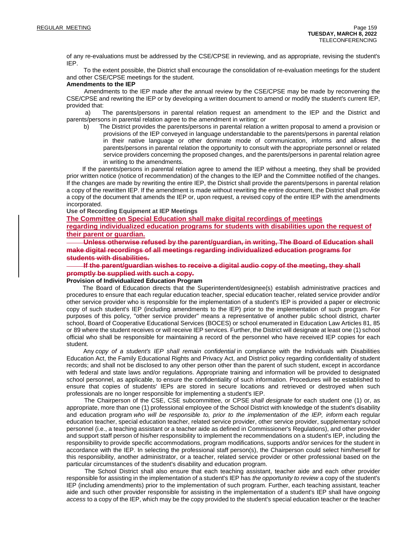of any re-evaluations must be addressed by the CSE/CPSE in reviewing, and as appropriate, revising the student's IEP.

 To the extent possible, the District shall encourage the consolidation of re-evaluation meetings for the student and other CSE/CPSE meetings for the student.

#### **Amendments to the IEP**

 Amendments to the IEP made after the annual review by the CSE/CPSE may be made by reconvening the CSE/CPSE and rewriting the IEP or by developing a written document to amend or modify the student's current IEP, provided that:

 a) The parents/persons in parental relation request an amendment to the IEP and the District and parents/persons in parental relation agree to the amendment in writing; or

 b) The District provides the parents/persons in parental relation a written proposal to amend a provision or provisions of the IEP conveyed in language understandable to the parents/persons in parental relation in their native language or other dominate mode of communication, informs and allows the parents/persons in parental relation the opportunity to consult with the appropriate personnel or related service providers concerning the proposed changes, and the parents/persons in parental relation agree in writing to the amendments.

 If the parents/persons in parental relation agree to amend the IEP without a meeting, they shall be provided prior written notice (notice of recommendation) of the changes to the IEP and the Committee notified of the changes. If the changes are made by rewriting the entire IEP, the District shall provide the parents/persons in parental relation a copy of the rewritten IEP. If the amendment is made without rewriting the entire document, the District shall provide a copy of the document that amends the IEP or, upon request, a revised copy of the entire IEP with the amendments incorporated.

#### **Use of Recording Equipment at IEP Meetings**

**The Committee on Special Education shall make digital recordings of meetings**

**regarding individualized education programs for students with disabilities upon the request of their parent or guardian.**

 **Unless otherwise refused by the parent/guardian, in writing, The Board of Education shall make digital recordings of all meetings regarding individualized education programs for students with disabilities.**

 **If the parent/guardian wishes to receive a digital audio copy of the meeting, they shall promptly be supplied with such a copy.**

### **Provision of Individualized Education Program**

 The Board of Education directs that the Superintendent/designee(s) establish administrative practices and procedures to ensure that each regular education teacher, special education teacher, related service provider and/or other service provider who is responsible for the implementation of a student's IEP is provided a paper or electronic copy of such student's IEP (including amendments to the IEP) prior to the implementation of such program. For purposes of this policy, "other service provider" means a representative of another public school district, charter school, Board of Cooperative Educational Services (BOCES) or school enumerated in Education Law Articles 81, 85 or 89 where the student receives or will receive IEP services. Further, the District will designate at least one (1) school official who shall be responsible for maintaining a record of the personnel who have received IEP copies for each student.

 Any *copy of a student's IEP shall remain confidential* in compliance with the Individuals with Disabilities Education Act, the Family Educational Rights and Privacy Act, and District policy regarding confidentiality of student records; and shall not be disclosed to any other person other than the parent of such student, except in accordance with federal and state laws and/or regulations. Appropriate training and information will be provided to designated school personnel, as applicable, to ensure the confidentiality of such information. Procedures will be established to ensure that copies of students' IEPs are stored in secure locations and retrieved or destroyed when such professionals are no longer responsible for implementing a student's IEP.

 The Chairperson of the CSE, CSE subcommittee, or CPSE *shall designate* for each student one (1) or, as appropriate, more than one (1) professional employee of the School District with knowledge of the student's disability and education program *who will be responsible to, prior to the implementation of the IEP, inform* each regular education teacher, special education teacher, related service provider, other service provider, supplementary school personnel (i.e., a teaching assistant or a teacher aide as defined in Commissioner's Regulations), and other provider and support staff person of his/her responsibility to implement the recommendations on a student's IEP, including the responsibility to provide specific accommodations, program modifications, supports and/or services for the student in accordance with the IEP. In selecting the professional staff person(s), the Chairperson could select him/herself for this responsibility, another administrator, or a teacher, related service provider or other professional based on the particular circumstances of the student's disability and education program.

 The School District shall also ensure that each teaching assistant, teacher aide and each other provider responsible for assisting in the implementation of a student's IEP has *the opportunity to review* a copy of the student's IEP (including amendments) prior to the implementation of such program. Further, each teaching assistant, teacher aide and such other provider responsible for assisting in the implementation of a student's IEP shall have *ongoing access* to a copy of the IEP, which may be the copy provided to the student's special education teacher or the teacher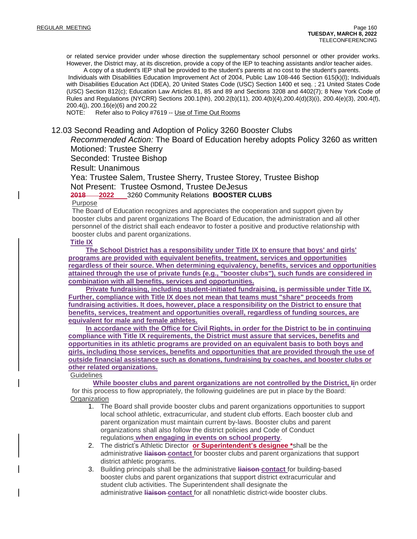or related service provider under whose direction the supplementary school personnel or other provider works. However, the District may, at its discretion, provide a copy of the IEP to teaching assistants and/or teacher aides.

 A copy of a student's IEP shall be provided to the student's parents at no cost to the student's parents. Individuals with Disabilities Education Improvement Act of 2004, Public Law 108-446 Section 615(k)(l); Individuals with Disabilities Education Act (IDEA), 20 United States Code (USC) Section 1400 et seq. ; 21 United States Code (USC) Section 812(c); Education Law Articles 81, 85 and 89 and Sections 3208 and 4402(7); 8 New York Code of Rules and Regulations (NYCRR) Sections 200.1(hh), 200.2(b)(11), 200.4(b)(4),200.4(d)(3)(i), 200.4(e)(3), 200.4(f), 200.4(j), 200.16(e)(6) and 200.22

NOTE: Refer also to Policy #7619 -- Use of Time Out Rooms

### 12.03 Second Reading and Adoption of Policy 3260 Booster Clubs

*Recommended Action:* The Board of Education hereby adopts Policy 3260 as written Motioned: Trustee Sherry

Seconded: Trustee Bishop

Result: Unanimous

Yea: Trustee Salem, Trustee Sherry, Trustee Storey, Trustee Bishop Not Present: Trustee Osmond, Trustee DeJesus

### **2018 2022** 3260 Community Relations **BOOSTER CLUBS**

### Purpose

The Board of Education recognizes and appreciates the cooperation and support given by booster clubs and parent organizations The Board of Education, the administration and all other personnel of the district shall each endeavor to foster a positive and productive relationship with booster clubs and parent organizations.

### **Title IX**

**The School District has a responsibility under Title IX to ensure that boys' and girls' programs are provided with equivalent benefits, treatment, services and opportunities regardless of their source. When determining equivalency, benefits, services and opportunities attained through the use of private funds (e.g., "booster clubs"), such funds are considered in combination with all benefits, services and opportunities.**

**Private fundraising, including student-initiated fundraising, is permissible under Title IX. Further, compliance with Title IX does not mean that teams must "share" proceeds from fundraising activities. It does, however, place a responsibility on the District to ensure that benefits, services, treatment and opportunities overall, regardless of funding sources, are equivalent for male and female athletes.**

**In accordance with the Office for Civil Rights, in order for the District to be in continuing compliance with Title IX requirements, the District must assure that services, benefits and opportunities in its athletic programs are provided on an equivalent basis to both boys and girls, including those services, benefits and opportunities that are provided through the use of outside financial assistance such as donations, fundraising by coaches, and booster clubs or other related organizations.**

**Guidelines** 

**While booster clubs and parent organizations are not controlled by the District, Ii**n order for this process to flow appropriately, the following guidelines are put in place by the Board: **Organization** 

- 1. The Board shall provide booster clubs and parent organizations opportunities to support local school athletic, extracurricular, and student club efforts. Each booster club and parent organization must maintain current by-laws. Booster clubs and parent organizations shall also follow the district policies and Code of Conduct regulations **when engaging in events on school property**.
- 2. The district's Athletic Director **or Superintendent's designee \***shall be the administrative **liaison contact** for booster clubs and parent organizations that support district athletic programs.
- 3. Building principals shall be the administrative **liaison contact** for building-based booster clubs and parent organizations that support district extracurricular and student club activities. The Superintendent shall designate the administrative **liaison contact** for all nonathletic district-wide booster clubs.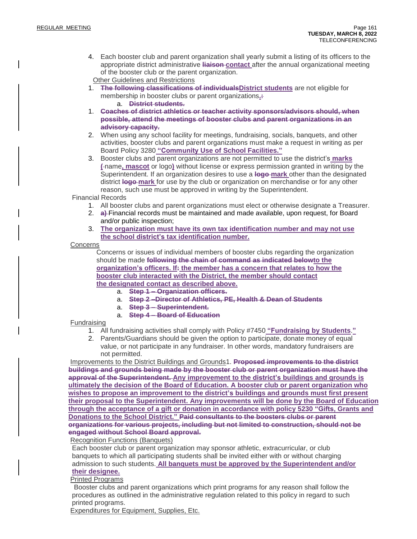- 4. Each booster club and parent organization shall yearly submit a listing of its officers to the appropriate district administrative **liaison contact** after the annual organizational meeting of the booster club or the parent organization.
	- Other Guidelines and Restrictions
- 1. **The following classifications of individualsDistrict students** are not eligible for membership in booster clubs or parent organizations**.:**
	- a. **District students.**
- 1. **Coaches of district athletics or teacher activity sponsors/advisors should, when possible, attend the meetings of booster clubs and parent organizations in an advisory capacity.**
- 2. When using any school facility for meetings, fundraising, socials, banquets, and other activities, booster clubs and parent organizations must make a request in writing as per Board Policy 3280 **"Community Use of School Facilities."**
- 3. Booster clubs and parent organizations are not permitted to use the district's **marks (** name**, mascot** or logo**)** without license or express permission granted in writing by the Superintendent. If an organization desires to use a **logo mark** other than the designated district **logo mark** for use by the club or organization on merchandise or for any other reason, such use must be approved in writing by the Superintendent.

Financial Records

- 1. All booster clubs and parent organizations must elect or otherwise designate a Treasurer.
- 2. **a)** Financial records must be maintained and made available, upon request, for Board and/or public inspection;
- 3. **The organization must have its own tax identification number and may not use the school district's tax identification number.**

**Concerns** 

Concerns or issues of individual members of booster clubs regarding the organization should be made **following the chain of command as indicated belowto the organization's officers. If: the member has a concern that relates to how the booster club interacted with the District, the member should contact the designated contact as described above.**

- a. **Step 1 – Organization officers.**
- a. **Step 2 –Director of Athletics, PE, Health & Dean of Students**
- a. **Step 3 – Superintendent.**
- a. **Step 4 – Board of Education**

### Fundraising

- 1. All fundraising activities shall comply with Policy #7450 **"Fundraising by Students**.**"**
- 2. Parents/Guardians should be given the option to participate, donate money of equal value, or not participate in any fundraiser. In other words, mandatory fundraisers are not permitted.

Improvements to the District Buildings and Grounds1. **Proposed improvements to the district buildings and grounds being made by the booster club or parent organization must have the approval of the Superintendent. Any improvement to the district's buildings and grounds is ultimately the decision of the Board of Education. A booster club or parent organization who wishes to propose an improvement to the district's buildings and grounds must first present their proposal to the Superintendent. Any improvements will be done by the Board of Education through the acceptance of a gift or donation in accordance with policy 5230 "Gifts, Grants and Donations to the School District." Paid consultants to the boosters clubs or parent organizations for various projects, including but not limited to construction, should not be engaged without School Board approval.**

Recognition Functions (Banquets)

Each booster club or parent organization may sponsor athletic, extracurricular, or club banquets to which all participating students shall be invited either with or without charging admission to such students. **All banquets must be approved by the Superintendent and/or their designee.**

### Printed Programs

Booster clubs and parent organizations which print programs for any reason shall follow the procedures as outlined in the administrative regulation related to this policy in regard to such printed programs.

Expenditures for Equipment, Supplies, Etc.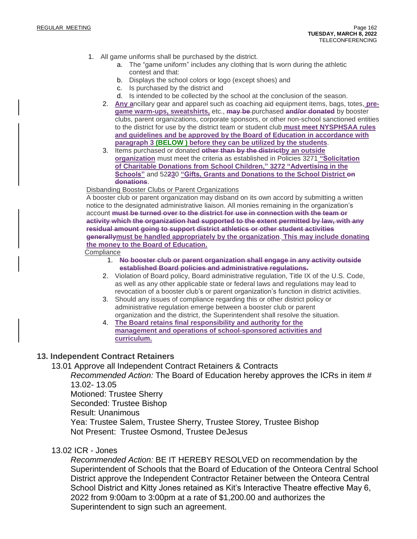- 1. All game uniforms shall be purchased by the district.
	- a. The "game uniform" includes any clothing that Is worn during the athletic contest and that:
	- b. Displays the school colors or logo (except shoes) and
	- c. Is purchased by the district and
	- d. Is intended to be collected by the school at the conclusion of the season.
	- 2. **Any a**ncillary gear and apparel such as coaching aid equipment items, bags, totes, **pregame warm-ups, sweatshirts,** etc., **may be** purchased **and/or donated** by booster clubs, parent organizations, corporate sponsors, or other non-school sanctioned entities to the district for use by the district team or student club **must meet NYSPHSAA rules and guidelines and be approved by the Board of Education in accordance with paragraph 3 (BELOW ) before they can be utilized by the students**.
	- 3. Items purchased or donated **other than by the districtby an outside organization** must meet the criteria as established in Policies 3271 **"Solicitation of Charitable Donations from School Children," 3272 "Advertising in the Schools"** and 52**23**0 **"Gifts, Grants and Donations to the School District on donations**.

### Disbanding Booster Clubs or Parent Organizations

A booster club or parent organization may disband on its own accord by submitting a written notice to the designated administrative liaison. All monies remaining in the organization's account **must be turned over to the district for use in connection with the team or activity which the organization had supported to the extent permitted by law, with any residual amount going to support district athletics or other student activities generallymust be handled appropriately by the organization**. **This may include donating the money to the Board of Education.**

**Compliance** 

- 1. **No booster club or parent organization shall engage in any activity outside established Board policies and administrative regulations.**
- 2. Violation of Board policy, Board administrative regulation, Title IX of the U.S. Code, as well as any other applicable state or federal laws and regulations may lead to revocation of a booster club's or parent organization's function in district activities.
- 3. Should any issues of compliance regarding this or other district policy or administrative regulation emerge between a booster club or parent organization and the district, the Superintendent shall resolve the situation.
- 4. **The Board retains final responsibility and authority for the management and operations of school-sponsored activities and curriculum.**

### **13. Independent Contract Retainers**

13.01 Approve all Independent Contract Retainers & Contracts

*Recommended Action:* The Board of Education hereby approves the ICRs in item # 13.02- 13.05 Motioned: Trustee Sherry Seconded: Trustee Bishop

Result: Unanimous

Yea: Trustee Salem, Trustee Sherry, Trustee Storey, Trustee Bishop Not Present: Trustee Osmond, Trustee DeJesus

### 13.02 ICR - Jones

*Recommended Action:* BE IT HEREBY RESOLVED on recommendation by the Superintendent of Schools that the Board of Education of the Onteora Central School District approve the Independent Contractor Retainer between the Onteora Central School District and Kitty Jones retained as Kit's Interactive Theatre effective May 6, 2022 from 9:00am to 3:00pm at a rate of \$1,200.00 and authorizes the Superintendent to sign such an agreement.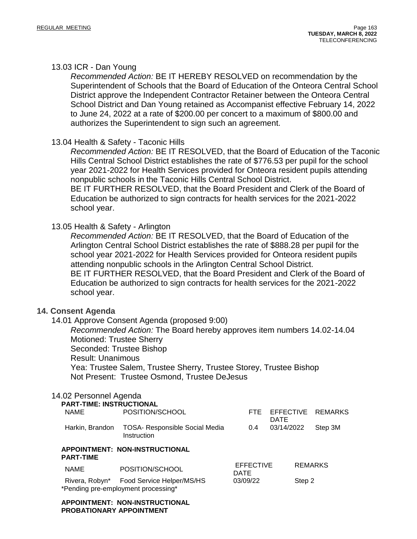### 13.03 ICR - Dan Young

*Recommended Action:* BE IT HEREBY RESOLVED on recommendation by the Superintendent of Schools that the Board of Education of the Onteora Central School District approve the Independent Contractor Retainer between the Onteora Central School District and Dan Young retained as Accompanist effective February 14, 2022 to June 24, 2022 at a rate of \$200.00 per concert to a maximum of \$800.00 and authorizes the Superintendent to sign such an agreement.

### 13.04 Health & Safety - Taconic Hills

*Recommended Action:* BE IT RESOLVED, that the Board of Education of the Taconic Hills Central School District establishes the rate of \$776.53 per pupil for the school year 2021-2022 for Health Services provided for Onteora resident pupils attending nonpublic schools in the Taconic Hills Central School District. BE IT FURTHER RESOLVED, that the Board President and Clerk of the Board of Education be authorized to sign contracts for health services for the 2021-2022 school year.

### 13.05 Health & Safety - Arlington

*Recommended Action:* BE IT RESOLVED, that the Board of Education of the Arlington Central School District establishes the rate of \$888.28 per pupil for the school year 2021-2022 for Health Services provided for Onteora resident pupils attending nonpublic schools in the Arlington Central School District. BE IT FURTHER RESOLVED, that the Board President and Clerk of the Board of Education be authorized to sign contracts for health services for the 2021-2022 school year.

### **14. Consent Agenda**

14.01 Approve Consent Agenda (proposed 9:00)

*Recommended Action:* The Board hereby approves item numbers 14.02-14.04 Motioned: Trustee Sherry Seconded: Trustee Bishop Result: Unanimous Yea: Trustee Salem, Trustee Sherry, Trustee Storey, Trustee Bishop

Not Present: Trustee Osmond, Trustee DeJesus

### 14.02 Personnel Agenda

| <b>PART-TIME: INSTRUCTIONAL</b> |                                                               |                  |                |                       |
|---------------------------------|---------------------------------------------------------------|------------------|----------------|-----------------------|
| NAME                            | POSITION/SCHOOL                                               |                  | <b>DATE</b>    | FTE EFFECTIVE REMARKS |
|                                 | Harkin, Brandon TOSA- Responsible Social Media<br>Instruction |                  | 0.4 03/14/2022 | Step 3M               |
| <b>PART-TIME</b>                | APPOINTMENT: NON-INSTRUCTIONAL                                |                  |                |                       |
|                                 |                                                               | <b>EFFECTIVE</b> |                | REMARKS               |

| NAME | <b>POSITION/SCHOOL</b>                   | <b>DATE</b> |        |
|------|------------------------------------------|-------------|--------|
|      | Rivera, Robyn* Food Service Helper/MS/HS | 03/09/22    | Step 2 |
|      | *Pending pre-employment processing*      |             |        |

**APPOINTMENT: NON-INSTRUCTIONAL PROBATIONARY APPOINTMENT**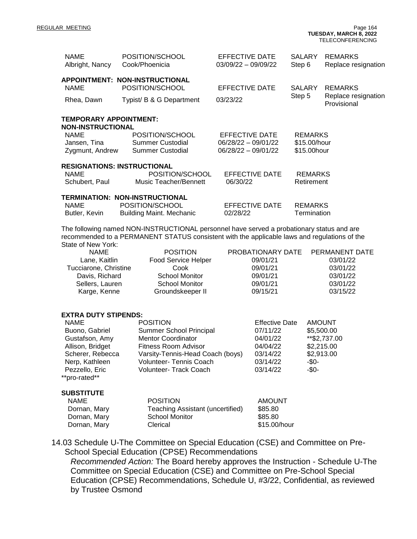REGULAR MEETING Page 164 **TUESDAY, MARCH 8, 2022** TELECONFERENCING

| <b>NAME</b><br>Albright, Nancy                                                                                                                                                                                  | POSITION/SCHOOL<br>Cook/Phoenicia                               | EFFECTIVE DATE<br>$03/09/22 - 09/09/22$ | SALARY<br>Step 6               | <b>REMARKS</b><br>Replace resignation |  |  |
|-----------------------------------------------------------------------------------------------------------------------------------------------------------------------------------------------------------------|-----------------------------------------------------------------|-----------------------------------------|--------------------------------|---------------------------------------|--|--|
| <b>NAME</b>                                                                                                                                                                                                     | APPOINTMENT: NON-INSTRUCTIONAL<br>POSITION/SCHOOL               | <b>EFFECTIVE DATE</b>                   | <b>SALARY</b><br>Step 5        | <b>REMARKS</b><br>Replace resignation |  |  |
| Rhea, Dawn                                                                                                                                                                                                      | Typist/ B & G Department                                        | 03/23/22                                |                                | Provisional                           |  |  |
| <b>TEMPORARY APPOINTMENT:</b><br><b>NON-INSTRUCTIONAL</b>                                                                                                                                                       |                                                                 |                                         |                                |                                       |  |  |
| <b>NAME</b>                                                                                                                                                                                                     | POSITION/SCHOOL<br><b>Summer Custodial</b>                      | EFFECTIVE DATE<br>06/28/22 - 09/01/22   | <b>REMARKS</b><br>\$15.00/hour |                                       |  |  |
| Jansen, Tina<br>Zygmunt, Andrew                                                                                                                                                                                 | <b>Summer Custodial</b>                                         | $06/28/22 - 09/01/22$                   | \$15.00hour                    |                                       |  |  |
|                                                                                                                                                                                                                 | <b>RESIGNATIONS: INSTRUCTIONAL</b>                              |                                         |                                |                                       |  |  |
| <b>NAME</b>                                                                                                                                                                                                     | POSITION/SCHOOL<br><b>Music Teacher/Bennett</b>                 | <b>EFFECTIVE DATE</b><br>06/30/22       | <b>REMARKS</b>                 |                                       |  |  |
| Schubert, Paul                                                                                                                                                                                                  |                                                                 |                                         | Retirement                     |                                       |  |  |
| <b>NAME</b>                                                                                                                                                                                                     | TERMINATION: NON-INSTRUCTIONAL<br>POSITION/SCHOOL               | <b>EFFECTIVE DATE</b>                   | <b>REMARKS</b>                 |                                       |  |  |
| Butler, Kevin                                                                                                                                                                                                   | <b>Building Maint. Mechanic</b>                                 | 02/28/22                                | Termination                    |                                       |  |  |
| The following named NON-INSTRUCTIONAL personnel have served a probationary status and are<br>recommended to a PERMANENT STATUS consistent with the applicable laws and regulations of the<br>State of New York: |                                                                 |                                         |                                |                                       |  |  |
| <b>NAME</b>                                                                                                                                                                                                     | <b>POSITION</b>                                                 | PROBATIONARY DATE                       |                                | PERMANENT DATE                        |  |  |
| Lane, Kaitlin<br>Tucciarone, Christine                                                                                                                                                                          | Food Service Helper<br>Cook                                     | 09/01/21<br>09/01/21                    |                                | 03/01/22<br>03/01/22                  |  |  |
| Davis, Richard                                                                                                                                                                                                  | <b>School Monitor</b><br><b>School Monitor</b>                  | 09/01/21<br>09/01/21                    |                                | 03/01/22<br>03/01/22                  |  |  |
| Sellers, Lauren<br>Karge, Kenne                                                                                                                                                                                 | Groundskeeper II                                                | 09/15/21                                |                                | 03/15/22                              |  |  |
|                                                                                                                                                                                                                 |                                                                 |                                         |                                |                                       |  |  |
| <b>EXTRA DUTY STIPENDS:</b>                                                                                                                                                                                     |                                                                 |                                         |                                |                                       |  |  |
| <b>NAME</b><br>Buono, Gabriel                                                                                                                                                                                   | <b>POSITION</b><br>Summer School Principal                      | <b>Effective Date</b><br>07/11/22       |                                | <b>AMOUNT</b><br>\$5,500.00           |  |  |
| Gustafson, Amy                                                                                                                                                                                                  | <b>Mentor Coordinator</b>                                       | 04/01/22                                |                                | ** \$2,737.00                         |  |  |
| Allison, Bridget<br>Scherer, Rebecca                                                                                                                                                                            | <b>Fitness Room Advisor</b><br>Varsity-Tennis-Head Coach (boys) | 04/04/22<br>03/14/22                    |                                | \$2,215.00<br>\$2,913.00              |  |  |
| Nerp, Kathleen                                                                                                                                                                                                  | Volunteer- Tennis Coach                                         | 03/14/22                                | -\$0-                          |                                       |  |  |
| Pezzello, Eric<br>**pro-rated**                                                                                                                                                                                 | Volunteer- Track Coach                                          | 03/14/22                                | $-$ \$0-                       |                                       |  |  |
|                                                                                                                                                                                                                 |                                                                 |                                         |                                |                                       |  |  |
| <b>SUBSTITUTE</b><br><b>NAME</b>                                                                                                                                                                                | <b>POSITION</b>                                                 | <b>AMOUNT</b>                           |                                |                                       |  |  |
| Dornan, Mary                                                                                                                                                                                                    | <b>Teaching Assistant (uncertified)</b>                         | \$85.80                                 |                                |                                       |  |  |
| Dornan, Mary<br>Dornan, Mary                                                                                                                                                                                    | <b>School Monitor</b><br>Clerical                               | \$85.80<br>\$15.00/hour                 |                                |                                       |  |  |
|                                                                                                                                                                                                                 |                                                                 |                                         |                                |                                       |  |  |

14.03 Schedule U-The Committee on Special Education (CSE) and Committee on Pre-School Special Education (CPSE) Recommendations

*Recommended Action:* The Board hereby approves the Instruction - Schedule U-The Committee on Special Education (CSE) and Committee on Pre-School Special Education (CPSE) Recommendations, Schedule U, #3/22, Confidential, as reviewed by Trustee Osmond